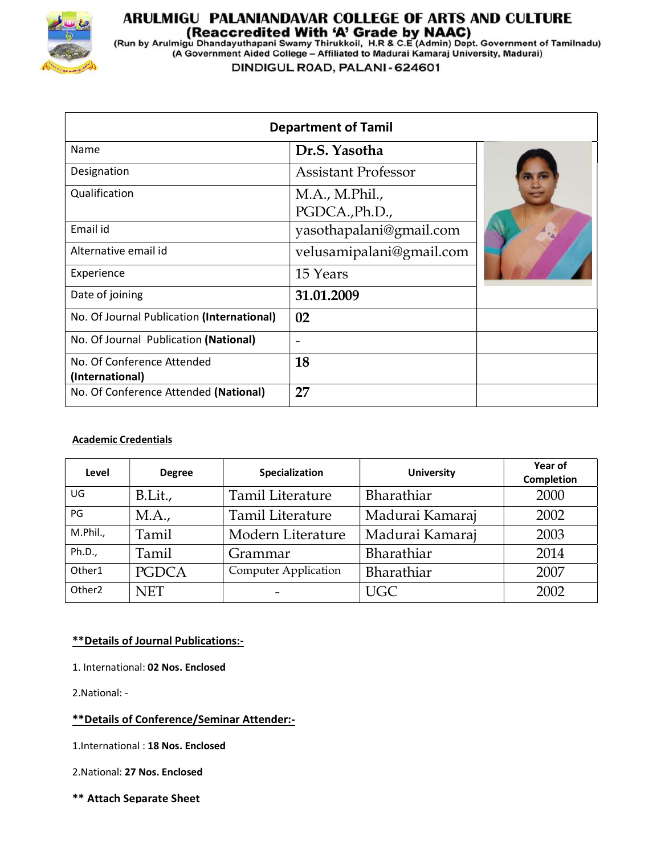

# **ARULMIGU PALANIANDAVAR COLLEGE OF ARTS AND CULTURE<br>(Reaccredited With 'A' Grade by NAAC)<br>(Run by Arulmigu Dhandayuthapani Swamy Thirukkoil, H.R & C.E (Admin) Dept. Government of Tamilnadu)<br>(A Government Aided College – Af**

DINDIGUL ROAD, PALANI - 624601

|                                               | <b>Department of Tamil</b>       |  |
|-----------------------------------------------|----------------------------------|--|
| Name                                          | Dr.S. Yasotha                    |  |
| Designation                                   | <b>Assistant Professor</b>       |  |
| Qualification                                 | M.A., M.Phil.,<br>PGDCA., Ph.D., |  |
| Email id                                      | yasothapalani@gmail.com          |  |
| Alternative email id                          | velusamipalani@gmail.com         |  |
| Experience                                    | 15 Years                         |  |
| Date of joining                               | 31.01.2009                       |  |
| No. Of Journal Publication (International)    | 02                               |  |
| No. Of Journal Publication (National)         | $\overline{\phantom{0}}$         |  |
| No. Of Conference Attended<br>(International) | 18                               |  |
| No. Of Conference Attended (National)         | 27                               |  |

#### Academic Credentials

| Level              | <b>Degree</b> | Specialization              | <b>University</b> | Year of<br><b>Completion</b> |  |
|--------------------|---------------|-----------------------------|-------------------|------------------------------|--|
| UG                 | B.Lit.,       | <b>Tamil Literature</b>     | Bharathiar        | 2000                         |  |
| PG                 | M.A.,         | <b>Tamil Literature</b>     | Madurai Kamaraj   | 2002                         |  |
| M.Phil.,           | Tamil         | Modern Literature           | Madurai Kamaraj   | 2003                         |  |
| Ph.D.,             | Tamil         | Grammar                     | Bharathiar        | 2014                         |  |
| Other1             | <b>PGDCA</b>  | <b>Computer Application</b> | Bharathiar        | 2007                         |  |
| Other <sub>2</sub> | <b>NET</b>    |                             | <b>UGC</b>        | 2002                         |  |

#### \*\*Details of Journal Publications:-

1. International: 02 Nos. Enclosed

2.National: -

#### \*\*Details of Conference/Seminar Attender:-

1.International : 18 Nos. Enclosed

2.National: 27 Nos. Enclosed

\*\* Attach Separate Sheet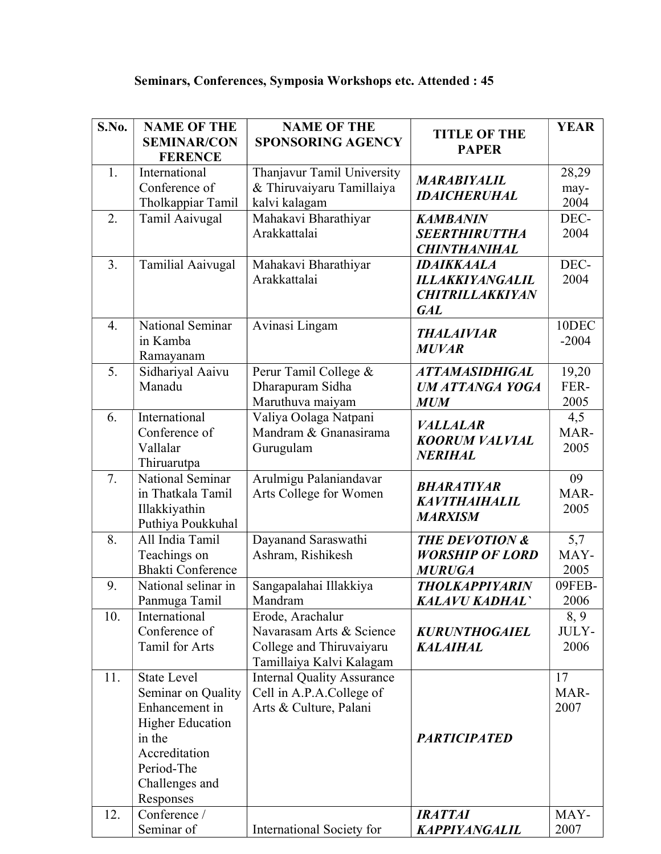| S.No.            | <b>NAME OF THE</b><br><b>SEMINAR/CON</b><br><b>FERENCE</b>                                                                                                    | <b>NAME OF THE</b><br><b>SPONSORING AGENCY</b>                                                       | <b>TITLE OF THE</b><br><b>PAPER</b>                                                 | <b>YEAR</b>           |
|------------------|---------------------------------------------------------------------------------------------------------------------------------------------------------------|------------------------------------------------------------------------------------------------------|-------------------------------------------------------------------------------------|-----------------------|
| 1.               | International<br>Conference of<br>Tholkappiar Tamil                                                                                                           | Thanjavur Tamil University<br>& Thiruvaiyaru Tamillaiya<br>kalvi kalagam                             | <b>MARABIYALIL</b><br><b>IDAICHERUHAL</b>                                           | 28,29<br>may-<br>2004 |
| 2.               | Tamil Aaivugal                                                                                                                                                | Mahakavi Bharathiyar<br>Arakkattalai                                                                 | <b>KAMBANIN</b><br><b>SEERTHIRUTTHA</b><br><b>CHINTHANIHAL</b>                      | DEC-<br>2004          |
| 3.               | Tamilial Aaivugal                                                                                                                                             | Mahakavi Bharathiyar<br>Arakkattalai                                                                 | <b>IDAIKKAALA</b><br><b>ILLAKKIYANGALIL</b><br><b>CHITRILLAKKIYAN</b><br><b>GAL</b> | DEC-<br>2004          |
| $\overline{4}$ . | National Seminar<br>in Kamba<br>Ramayanam                                                                                                                     | Avinasi Lingam                                                                                       | <b>THALAIVIAR</b><br><b>MUVAR</b>                                                   | 10DEC<br>$-2004$      |
| 5.               | Sidhariyal Aaivu<br>Manadu                                                                                                                                    | Perur Tamil College &<br>Dharapuram Sidha<br>Maruthuva maiyam                                        | <b>ATTAMASIDHIGAL</b><br><b>UM ATTANGA YOGA</b><br><b>MUM</b>                       | 19,20<br>FER-<br>2005 |
| 6.               | International<br>Conference of<br>Vallalar<br>Thiruarutpa                                                                                                     | Valiya Oolaga Natpani<br>Mandram & Gnanasirama<br>Gurugulam                                          | <b>VALLALAR</b><br><b>KOORUM VALVIAL</b><br><b>NERIHAL</b>                          | 4,5<br>MAR-<br>2005   |
| 7.               | National Seminar<br>in Thatkala Tamil<br>Illakkiyathin<br>Puthiya Poukkuhal                                                                                   | Arulmigu Palaniandavar<br>Arts College for Women                                                     | <b>BHARATIYAR</b><br><b>KAVITHAIHALIL</b><br><b>MARXISM</b>                         | 09<br>MAR-<br>2005    |
| 8.               | All India Tamil<br>Teachings on<br>Bhakti Conference                                                                                                          | Dayanand Saraswathi<br>Ashram, Rishikesh                                                             | <b>THE DEVOTION &amp;</b><br><b>WORSHIP OF LORD</b><br><b>MURUGA</b>                | 5,7<br>MAY-<br>2005   |
| 9.               | National selinar in<br>Panmuga Tamil                                                                                                                          | Sangapalahai Illakkiya<br>Mandram                                                                    | <b>THOLKAPPIYARIN</b><br><b>KALAVU KADHAL</b>                                       | 09FEB-<br>2006        |
| 10.              | International<br>Conference of<br>Tamil for Arts                                                                                                              | Erode, Arachalur<br>Navarasam Arts & Science<br>College and Thiruvaiyaru<br>Tamillaiya Kalvi Kalagam | <b>KURUNTHOGAIEL</b><br><b>KALAIHAL</b>                                             | 8, 9<br>JULY-<br>2006 |
| 11.              | <b>State Level</b><br>Seminar on Quality<br>Enhancement in<br><b>Higher Education</b><br>in the<br>Accreditation<br>Period-The<br>Challenges and<br>Responses | <b>Internal Quality Assurance</b><br>Cell in A.P.A.College of<br>Arts & Culture, Palani              | <b>PARTICIPATED</b>                                                                 | 17<br>MAR-<br>2007    |
| 12.              | Conference /<br>Seminar of                                                                                                                                    | International Society for                                                                            | <b>IRATTAI</b><br>KAPPIYANGALIL                                                     | MAY-<br>2007          |

## Seminars, Conferences, Symposia Workshops etc. Attended : 45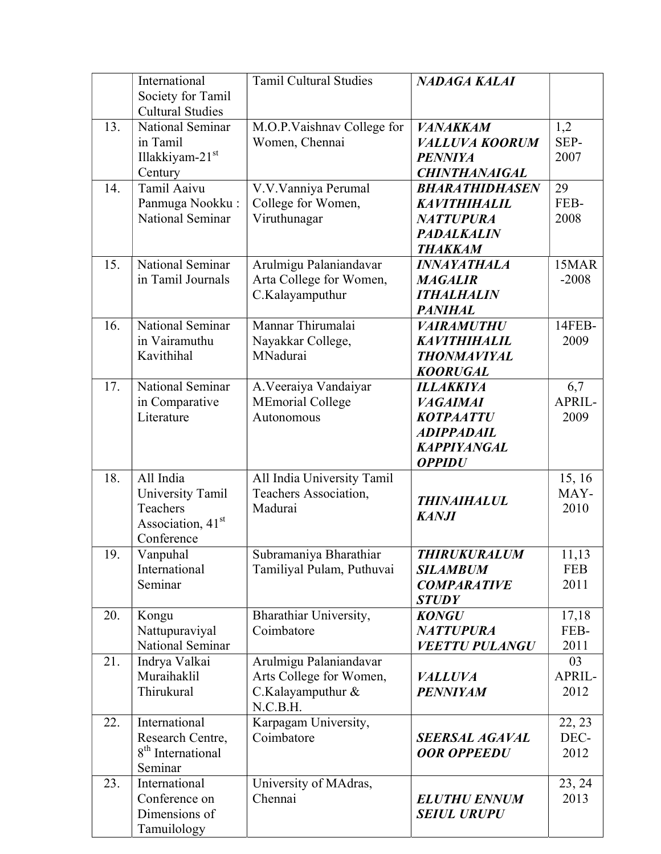|     | International                 | <b>Tamil Cultural Studies</b> | NADAGA KALAI              |            |
|-----|-------------------------------|-------------------------------|---------------------------|------------|
|     | Society for Tamil             |                               |                           |            |
|     | <b>Cultural Studies</b>       |                               |                           |            |
| 13. | National Seminar              | M.O.P.Vaishnav College for    | <b>VANAKKAM</b>           | 1,2        |
|     | in Tamil                      | Women, Chennai                | <b>VALLUVA KOORUM</b>     | SEP-       |
|     | Illakkiyam-21st               |                               | <b>PENNIYA</b>            | 2007       |
|     | Century                       |                               | <b>CHINTHANAIGAL</b>      |            |
| 14. | Tamil Aaivu                   | V.V.Vanniya Perumal           | <b>BHARATHIDHASEN</b>     | 29         |
|     | Panmuga Nookku:               | College for Women,            | <b>KAVITHIHALIL</b>       | FEB-       |
|     | <b>National Seminar</b>       | Viruthunagar                  | <b>NATTUPURA</b>          | 2008       |
|     |                               |                               | <b>PADALKALIN</b>         |            |
|     |                               |                               | <b>THAKKAM</b>            |            |
| 15. | National Seminar              | Arulmigu Palaniandavar        | <i><b>INNAYATHALA</b></i> | 15MAR      |
|     | in Tamil Journals             | Arta College for Women,       | <b>MAGALIR</b>            | $-2008$    |
|     |                               | C.Kalayamputhur               | <b>ITHALHALIN</b>         |            |
|     |                               |                               | <b>PANIHAL</b>            |            |
| 16. | National Seminar              | Mannar Thirumalai             | <b>VAIRAMUTHU</b>         | 14FEB-     |
|     | in Vairamuthu                 | Nayakkar College,             | <b>KAVITHIHALIL</b>       | 2009       |
|     | Kavithihal                    | MNadurai                      | <b>THONMAVIYAL</b>        |            |
|     |                               |                               | <b>KOORUGAL</b>           |            |
| 17. | National Seminar              |                               | <b>ILLAKKIYA</b>          | 6,7        |
|     |                               | A. Veeraiya Vandaiyar         |                           | APRIL-     |
|     | in Comparative<br>Literature  | <b>MEmorial College</b>       | <b>VAGAIMAI</b>           |            |
|     |                               | Autonomous                    | <b>KOTPAATTU</b>          | 2009       |
|     |                               |                               | <b>ADIPPADAIL</b>         |            |
|     |                               |                               | <b>KAPPIYANGAL</b>        |            |
|     |                               |                               | <b>OPPIDU</b>             |            |
| 18. | All India                     | All India University Tamil    |                           | 15, 16     |
|     | University Tamil              | Teachers Association,         | <b>THINAIHALUL</b>        | MAY-       |
|     | Teachers                      | Madurai                       | <b>KANJI</b>              | 2010       |
|     | Association, 41 <sup>st</sup> |                               |                           |            |
|     | Conference                    |                               |                           |            |
| 19. | Vanpuhal                      | Subramaniya Bharathiar        | <b>THIRUKURALUM</b>       | 11,13      |
|     | International                 | Tamiliyal Pulam, Puthuvai     | <b>SILAMBUM</b>           | <b>FEB</b> |
|     | Seminar                       |                               | <b>COMPARATIVE</b>        | 2011       |
|     |                               |                               | <b>STUDY</b>              |            |
| 20. | Kongu                         | Bharathiar University,        | <b>KONGU</b>              | 17,18      |
|     | Nattupuraviyal                | Coimbatore                    | <b>NATTUPURA</b>          | FEB-       |
|     | National Seminar              |                               | <b>VEETTU PULANGU</b>     | 2011       |
| 21. | Indrya Valkai                 | Arulmigu Palaniandavar        |                           | 03         |
|     | Muraihaklil                   | Arts College for Women,       | <b>VALLUVA</b>            | APRIL-     |
|     | Thirukural                    | C.Kalayamputhur &             | <b>PENNIYAM</b>           | 2012       |
|     |                               | N.C.B.H.                      |                           |            |
| 22. | International                 | Karpagam University,          |                           | 22, 23     |
|     | Research Centre,              | Coimbatore                    | <b>SEERSAL AGAVAL</b>     | DEC-       |
|     | 8 <sup>th</sup> International |                               | <b>OOR OPPEEDU</b>        | 2012       |
|     | Seminar                       |                               |                           |            |
| 23. | International                 | University of MAdras,         |                           | 23, 24     |
|     | Conference on                 | Chennai                       | <b>ELUTHU ENNUM</b>       | 2013       |
|     | Dimensions of                 |                               | <b>SEIUL URUPU</b>        |            |
|     | Tamuilology                   |                               |                           |            |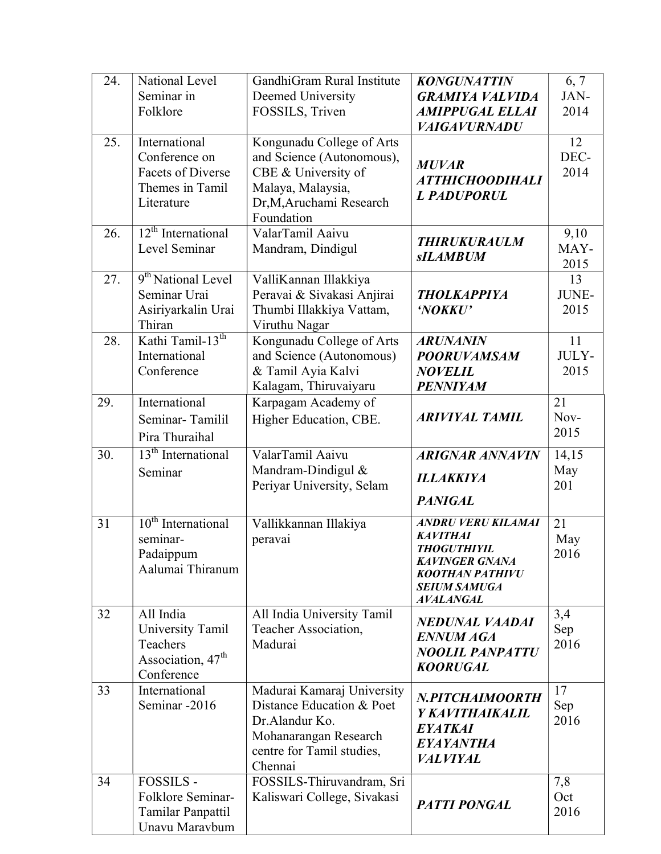| 24. | National Level                                                                              | GandhiGram Rural Institute                                                                                                                 | <b>KONGUNATTIN</b>                                                              | 6, 7                 |
|-----|---------------------------------------------------------------------------------------------|--------------------------------------------------------------------------------------------------------------------------------------------|---------------------------------------------------------------------------------|----------------------|
|     | Seminar in                                                                                  | Deemed University                                                                                                                          | <b>GRAMIYA VALVIDA</b>                                                          | JAN-                 |
|     | Folklore                                                                                    | FOSSILS, Triven                                                                                                                            | <b>AMIPPUGAL ELLAI</b>                                                          | 2014                 |
|     |                                                                                             |                                                                                                                                            | <b>VAIGAVURNADU</b>                                                             |                      |
| 25. | International<br>Conference on<br><b>Facets of Diverse</b><br>Themes in Tamil<br>Literature | Kongunadu College of Arts<br>and Science (Autonomous),<br>CBE & University of<br>Malaya, Malaysia,<br>Dr,M,Aruchami Research<br>Foundation | <b>MUVAR</b><br><b>ATTHICHOODIHALI</b><br><b>L PADUPORUL</b>                    | 12<br>DEC-<br>2014   |
| 26. | $12th$ International<br>Level Seminar                                                       | ValarTamil Aaivu<br>Mandram, Dindigul                                                                                                      | <b>THIRUKURAULM</b><br><b>sILAMBUM</b>                                          | 9,10<br>MAY-<br>2015 |
| 27. | 9 <sup>th</sup> National Level<br>Seminar Urai<br>Asiriyarkalin Urai<br>Thiran              | ValliKannan Illakkiya<br>Peravai & Sivakasi Anjirai<br>Thumbi Illakkiya Vattam,<br>Viruthu Nagar                                           | <b>THOLKAPPIYA</b><br>'NOKKU'                                                   | 13<br>JUNE-<br>2015  |
| 28. | Kathi Tamil-13 <sup>th</sup>                                                                | Kongunadu College of Arts                                                                                                                  | <b>ARUNANIN</b>                                                                 | 11                   |
|     | International                                                                               | and Science (Autonomous)                                                                                                                   | <b>POORUVAMSAM</b>                                                              | JULY-                |
|     | Conference                                                                                  | & Tamil Ayia Kalvi                                                                                                                         | <b>NOVELIL</b>                                                                  | 2015                 |
|     |                                                                                             | Kalagam, Thiruvaiyaru                                                                                                                      | <b>PENNIYAM</b>                                                                 |                      |
| 29. | International                                                                               | Karpagam Academy of                                                                                                                        |                                                                                 | 21                   |
|     | Seminar-Tamilil                                                                             | Higher Education, CBE.                                                                                                                     | <b>ARIVIYAL TAMIL</b>                                                           | Nov-                 |
|     | Pira Thuraihal                                                                              |                                                                                                                                            |                                                                                 | 2015                 |
| 30. | 13 <sup>th</sup> International                                                              | ValarTamil Aaivu                                                                                                                           | <b>ARIGNAR ANNAVIN</b>                                                          | 14,15                |
|     | Seminar                                                                                     | Mandram-Dindigul &                                                                                                                         | <b>ILLAKKIYA</b>                                                                | May                  |
|     |                                                                                             | Periyar University, Selam                                                                                                                  |                                                                                 | 201                  |
|     |                                                                                             |                                                                                                                                            | <b>PANIGAL</b>                                                                  |                      |
| 31  | 10 <sup>th</sup> International<br>seminar-                                                  | Vallikkannan Illakiya<br>peravai                                                                                                           | <b>ANDRU VERU KILAMAI</b><br><b>KAVITHAI</b>                                    | 21<br>May            |
|     | Padaippum                                                                                   |                                                                                                                                            | <b>THOGUTHIYIL</b>                                                              | 2016                 |
|     | Aalumai Thiranum                                                                            |                                                                                                                                            | <b>KAVINGER GNANA</b><br><b>KOOTHAN PATHIVU</b>                                 |                      |
|     |                                                                                             |                                                                                                                                            | <b>SEIUM SAMUGA</b><br><b>AVALANGAL</b>                                         |                      |
| 32  | All India<br>University Tamil<br>Teachers<br>Association, 47 <sup>th</sup><br>Conference    | All India University Tamil<br>Teacher Association,<br>Madurai                                                                              | NEDUNAL VAADAI<br><b>ENNUM AGA</b><br><b>NOOLIL PANPATTU</b><br><b>KOORUGAL</b> | 3,4<br>Sep<br>2016   |
| 33  | International                                                                               | Madurai Kamaraj University                                                                                                                 |                                                                                 | 17                   |
|     | Seminar -2016                                                                               | Distance Education & Poet<br>Dr.Alandur Ko.                                                                                                | N.PITCHAIMOORTH<br>Y KAVITHAIKALIL                                              | Sep<br>2016          |
|     |                                                                                             | Mohanarangan Research<br>centre for Tamil studies,<br>Chennai                                                                              | <b>EYATKAI</b><br><b>EYAYANTHA</b><br><b>VALVIYAL</b>                           |                      |
| 34  | <b>FOSSILS -</b>                                                                            | FOSSILS-Thiruvandram, Sri                                                                                                                  |                                                                                 | 7,8                  |
|     | Folklore Seminar-<br>Tamilar Panpattil<br>Unavu Maravbum                                    | Kaliswari College, Sivakasi                                                                                                                | <b>PATTI PONGAL</b>                                                             | Oct<br>2016          |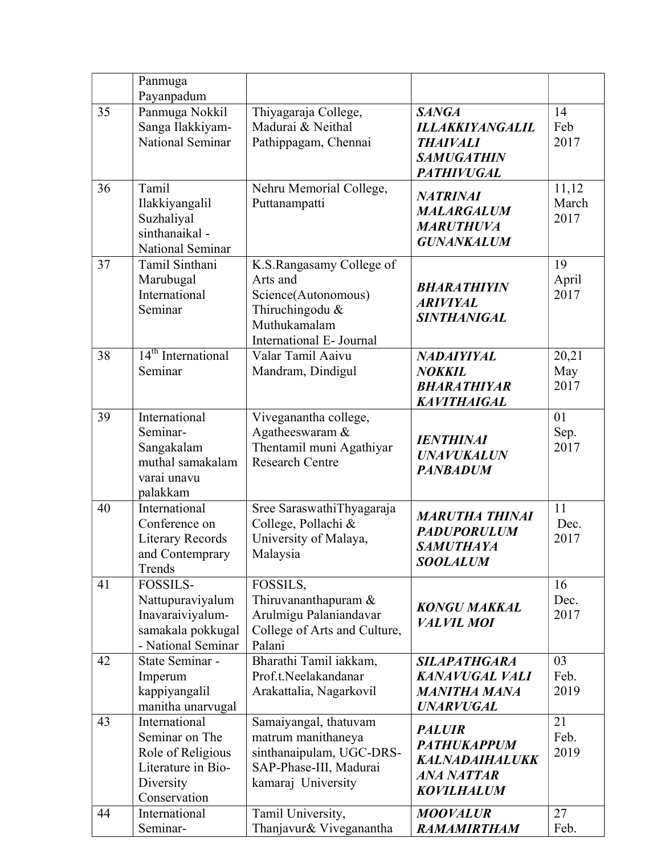|    | Panmuga<br>Payanpadum                                                                                   |                                                                                                                            |                                                                                                     |                        |
|----|---------------------------------------------------------------------------------------------------------|----------------------------------------------------------------------------------------------------------------------------|-----------------------------------------------------------------------------------------------------|------------------------|
| 35 | Panmuga Nokkil<br>Sanga Ilakkiyam-<br>National Seminar                                                  | Thiyagaraja College,<br>Madurai & Neithal<br>Pathippagam, Chennai                                                          | <b>SANGA</b><br><b>ILLAKKIYANGALIL</b><br><b>THAIVALI</b><br><b>SAMUGATHIN</b><br><b>PATHIVUGAL</b> | 14<br>Feb<br>2017      |
| 36 | Tamil<br>Ilakkiyangalil<br>Suzhaliyal<br>sinthanaikal -<br>National Seminar                             | Nehru Memorial College,<br>Puttanampatti                                                                                   | <b>NATRINAI</b><br><b>MALARGALUM</b><br><b>MARUTHUVA</b><br><b>GUNANKALUM</b>                       | 11,12<br>March<br>2017 |
| 37 | Tamil Sinthani<br>Marubugal<br>International<br>Seminar                                                 | K.S.Rangasamy College of<br>Arts and<br>Science(Autonomous)<br>Thiruchingodu &<br>Muthukamalam<br>International E- Journal | <b>BHARATHIYIN</b><br><b>ARIVIYAL</b><br><b>SINTHANIGAL</b>                                         | 19<br>April<br>2017    |
| 38 | 14 <sup>th</sup> International<br>Seminar                                                               | Valar Tamil Aaivu<br>Mandram, Dindigul                                                                                     | NADAIYIYAL<br><b>NOKKIL</b><br><b>BHARATHIYAR</b><br><b>KAVITHAIGAL</b>                             | 20,21<br>May<br>2017   |
| 39 | International<br>Seminar-<br>Sangakalam<br>muthal samakalam<br>varai unavu<br>palakkam                  | Viveganantha college,<br>Agatheeswaram &<br>Thentamil muni Agathiyar<br><b>Research Centre</b>                             | <b>IENTHINAI</b><br><b>UNAVUKALUN</b><br><b>PANBADUM</b>                                            | 01<br>Sep.<br>2017     |
| 40 | International<br>Conference on<br><b>Literary Records</b><br>and Contemprary<br>Trends                  | Sree SaraswathiThyagaraja<br>College, Pollachi &<br>University of Malaya,<br>Malaysia                                      | <b>MARUTHA THINAI</b><br><b>PADUPORULUM</b><br><b>SAMUTHAYA</b><br><b>SOOLALUM</b>                  | 11<br>Dec.<br>2017     |
| 41 | <b>FOSSILS-</b><br>Nattupuraviyalum<br>Inavaraiviyalum-<br>samakala pokkugal<br>- National Seminar      | FOSSILS,<br>Thiruvananthapuram &<br>Arulmigu Palaniandavar<br>College of Arts and Culture,<br>Palani                       | <b>KONGU MAKKAL</b><br><b>VALVIL MOI</b>                                                            | 16<br>Dec.<br>2017     |
| 42 | State Seminar -<br>Imperum<br>kappiyangalil<br>manitha unarvugal                                        | Bharathi Tamil iakkam,<br>Prof.t.Neelakandanar<br>Arakattalia, Nagarkovil                                                  | <b>SILAPATHGARA</b><br><b>KANAVUGAL VALI</b><br><b>MANITHA MANA</b><br><b>UNARVUGAL</b>             | 03<br>Feb.<br>2019     |
| 43 | International<br>Seminar on The<br>Role of Religious<br>Literature in Bio-<br>Diversity<br>Conservation | Samaiyangal, thatuvam<br>matrum manithaneya<br>sinthanaipulam, UGC-DRS-<br>SAP-Phase-III, Madurai<br>kamaraj University    | <b>PALUIR</b><br><b>PATHUKAPPUM</b><br>KALNADAIHALUKK<br><b>ANA NATTAR</b><br><b>KOVILHALUM</b>     | 21<br>Feb.<br>2019     |
| 44 | International<br>Seminar-                                                                               | Tamil University,<br>Thanjavur& Viveganantha                                                                               | <b>MOOVALUR</b><br><b>RAMAMIRTHAM</b>                                                               | 27<br>Feb.             |